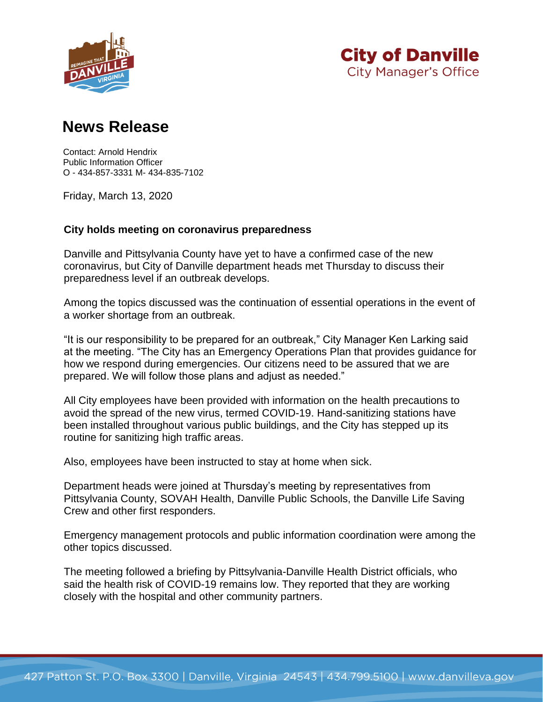



## **News Release**

Contact: Arnold Hendrix Public Information Officer O - 434-857-3331 M- 434-835-7102

Friday, March 13, 2020

## **City holds meeting on coronavirus preparedness**

Danville and Pittsylvania County have yet to have a confirmed case of the new coronavirus, but City of Danville department heads met Thursday to discuss their preparedness level if an outbreak develops.

Among the topics discussed was the continuation of essential operations in the event of a worker shortage from an outbreak.

"It is our responsibility to be prepared for an outbreak," City Manager Ken Larking said at the meeting. "The City has an Emergency Operations Plan that provides guidance for how we respond during emergencies. Our citizens need to be assured that we are prepared. We will follow those plans and adjust as needed."

All City employees have been provided with information on the health precautions to avoid the spread of the new virus, termed COVID-19. Hand-sanitizing stations have been installed throughout various public buildings, and the City has stepped up its routine for sanitizing high traffic areas.

Also, employees have been instructed to stay at home when sick.

Department heads were joined at Thursday's meeting by representatives from Pittsylvania County, SOVAH Health, Danville Public Schools, the Danville Life Saving Crew and other first responders.

Emergency management protocols and public information coordination were among the other topics discussed.

The meeting followed a briefing by Pittsylvania-Danville Health District officials, who said the health risk of COVID-19 remains low. They reported that they are working closely with the hospital and other community partners.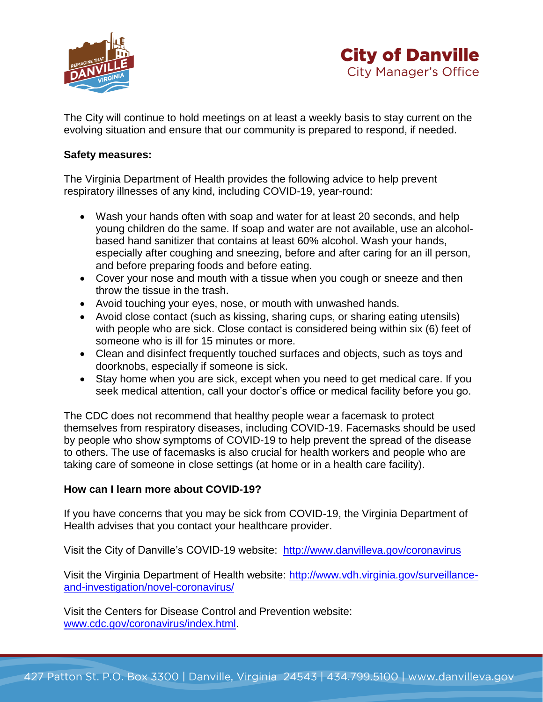



The City will continue to hold meetings on at least a weekly basis to stay current on the evolving situation and ensure that our community is prepared to respond, if needed.

## **Safety measures:**

The Virginia Department of Health provides the following advice to help prevent respiratory illnesses of any kind, including COVID-19, year-round:

- Wash your hands often with soap and water for at least 20 seconds, and help young children do the same. If soap and water are not available, use an alcoholbased hand sanitizer that contains at least 60% alcohol. Wash your hands, especially after coughing and sneezing, before and after caring for an ill person, and before preparing foods and before eating.
- Cover your nose and mouth with a tissue when you cough or sneeze and then throw the tissue in the trash.
- Avoid touching your eyes, nose, or mouth with unwashed hands.
- Avoid close contact (such as kissing, sharing cups, or sharing eating utensils) with people who are sick. Close contact is considered being within six (6) feet of someone who is ill for 15 minutes or more.
- Clean and disinfect frequently touched surfaces and objects, such as toys and doorknobs, especially if someone is sick.
- Stay home when you are sick, except when you need to get medical care. If you seek medical attention, call your doctor's office or medical facility before you go.

The CDC does not recommend that healthy people wear a facemask to protect themselves from respiratory diseases, including COVID-19. Facemasks should be used by people who show symptoms of COVID-19 to help prevent the spread of the disease to others. The use of facemasks is also crucial for health workers and people who are taking care of someone in close settings (at home or in a health care facility).

## **How can I learn more about COVID-19?**

If you have concerns that you may be sick from COVID-19, the Virginia Department of Health advises that you contact your healthcare provider.

Visit the City of Danville's COVID-19 website: <http://www.danvilleva.gov/coronavirus>

Visit the Virginia Department of Health website: [http://www.vdh.virginia.gov/surveillance](http://www.vdh.virginia.gov/surveillance-and-investigation/novel-coronavirus/)[and-investigation/novel-coronavirus/](http://www.vdh.virginia.gov/surveillance-and-investigation/novel-coronavirus/)

Visit the Centers for Disease Control and Prevention website: [www.cdc.gov/coronavirus/index.html.](http://www.cdc.gov/coronavirus/index.html)